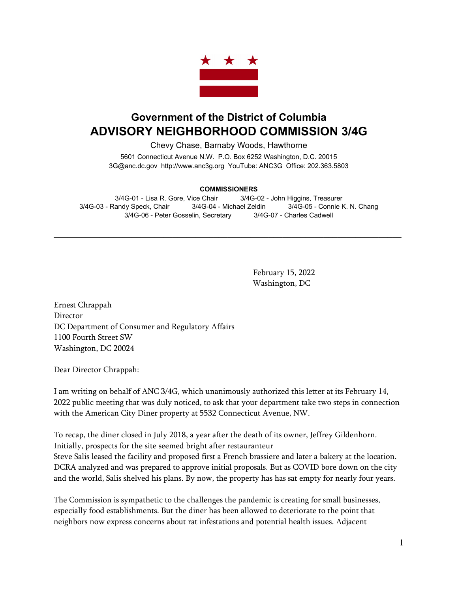

## **Government of the District of Columbia ADVISORY NEIGHBORHOOD COMMISSION 3/4G**

Chevy Chase, Barnaby Woods, Hawthorne

5601 Connecticut Avenue N.W. P.O. Box 6252 Washington, D.C. 20015 3G@anc.dc.gov [http://www.anc3g.org](http://www.anc3g.org/) YouTube: ANC3G Office: 202.363.5803

## **COMMISSIONERS**

3/4G-01 - Lisa R. Gore, Vice Chair 3/4G-02 - John Higgins, Treasurer 3/4G-03 - Randy Speck, Chair 3/4G-04 - Michael Zeldin 3/4G-05 - Connie K. N. Chang 3/4G-06 - Peter Gosselin, Secretary 3/4G-07 - Charles Cadwell

\_\_\_\_\_\_\_\_\_\_\_\_\_\_\_\_\_\_\_\_\_\_\_\_\_\_\_\_\_\_\_\_\_\_\_\_\_\_\_\_\_\_\_\_\_\_\_\_\_\_\_\_\_\_\_\_\_\_\_\_\_\_\_\_\_\_\_\_\_\_\_\_\_\_\_\_

February 15, 2022 Washington, DC

Ernest Chrappah **Director** DC Department of Consumer and Regulatory Affairs 1100 Fourth Street SW Washington, DC 20024

Dear Director Chrappah:

I am writing on behalf of ANC 3/4G, which unanimously authorized this letter at its February 14, 2022 public meeting that was duly noticed, to ask that your department take two steps in connection with the American City Diner property at 5532 Connecticut Avenue, NW.

To recap, the diner closed in July 2018, a year after the death of its owner, Jeffrey Gildenhorn. Initially, prospects for the site seemed bright after restauranteur Steve Salis leased the facility and proposed first a French brassiere and later a bakery at the location. DCRA analyzed and was prepared to approve initial proposals. But as COVID bore down on the city and the world, Salis shelved his plans. By now, the property has has sat empty for nearly four years.

The Commission is sympathetic to the challenges the pandemic is creating for small businesses, especially food establishments. But the diner has been allowed to deteriorate to the point that neighbors now express concerns about rat infestations and potential health issues. Adjacent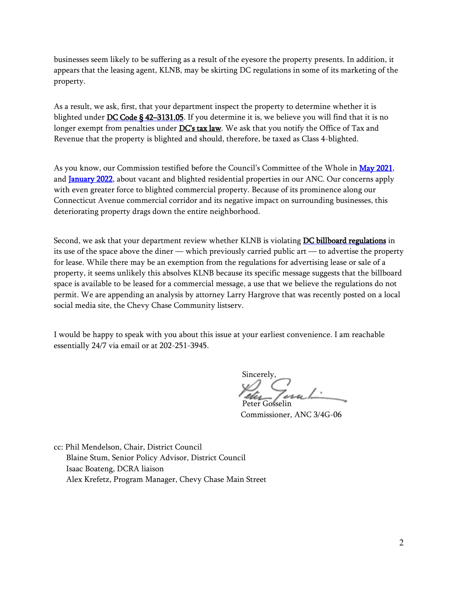businesses seem likely to be suffering as a result of the eyesore the property presents. In addition, it appears that the leasing agent, KLNB, may be skirting DC regulations in some of its marketing of the property.

As a result, we ask, first, that your department inspect the property to determine whether it is blighted under DC Code § 42-3131.05. If you determine it is, we believe you will find that it is no longer exempt from penalties under [DC's tax law.](https://otr.cfo.dc.gov/page/otr-vacant-real-property) We ask that you notify the Office of Tax and Revenue that the property is blighted and should, therefore, be taxed as Class 4-blighted.

As you know, our Commission testified before the Council's Committee of the Whole in [May 2021,](https://anc3g.org/wp-content/uploads/2021/06/Testimony-on-Vacant-and-Blighted-Properties-5-25-21-final-.pdf) and **January 2022**, about vacant and blighted residential properties in our ANC. Our concerns apply with even greater force to blighted commercial property. Because of its prominence along our Connecticut Avenue commercial corridor and its negative impact on surrounding businesses, this deteriorating property drags down the entire neighborhood.

Second, we ask that your department review whether KLNB is violating [DC billboard regulations](https://dcregs.dc.gov/Common/DCMR/RuleList.aspx?DownloadFile=A00E565F-0000-C893-8851-F5088EE3632B) in its use of the space above the diner — which previously carried public art — to advertise the property for lease. While there may be an exemption from the regulations for advertising lease or sale of a property, it seems unlikely this absolves KLNB because its specific message suggests that the billboard space is available to be leased for a commercial message, a use that we believe the regulations do not permit. We are appending an analysis by attorney Larry Hargrove that was recently posted on a local social media site, the Chevy Chase Community listserv.

I would be happy to speak with you about this issue at your earliest convenience. I am reachable essentially 24/7 via email or at 202-251-3945.

Sincerely, Peter Gosselin

Commissioner, ANC 3/4G-06

cc: Phil Mendelson, Chair, District Council Blaine Stum, Senior Policy Advisor, District Council Isaac Boateng, DCRA liaison Alex Krefetz, Program Manager, Chevy Chase Main Street